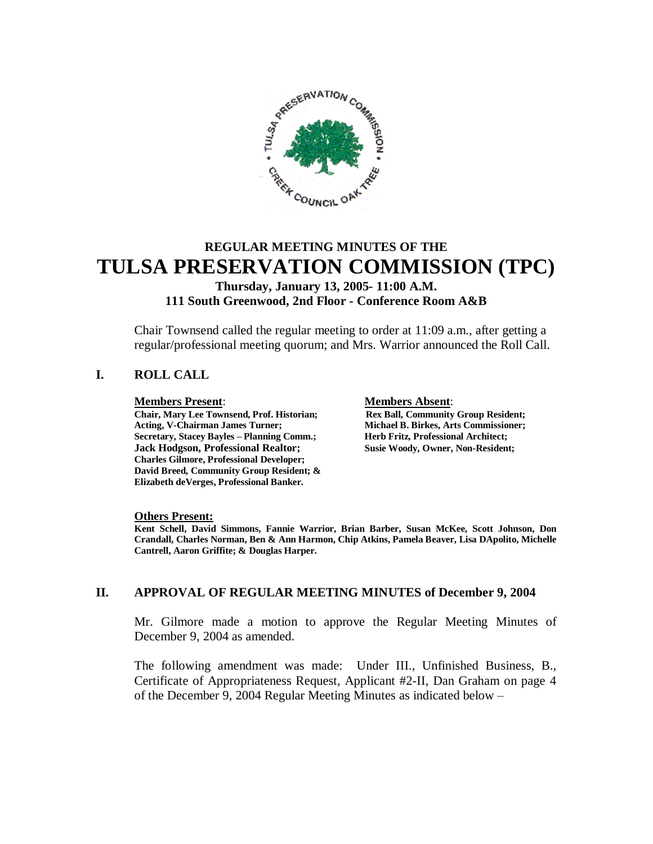

# **REGULAR MEETING MINUTES OF THE TULSA PRESERVATION COMMISSION (TPC)**

**Thursday, January 13, 2005- 11:00 A.M. 111 South Greenwood, 2nd Floor - Conference Room A&B**

Chair Townsend called the regular meeting to order at 11:09 a.m., after getting a regular/professional meeting quorum; and Mrs. Warrior announced the Roll Call.

### **I. ROLL CALL**

**Chair, Mary Lee Townsend, Prof. Historian; Acting, V-Chairman James Turner; Michael B. Birkes, Arts Commissioner; Secretary, Stacey Bayles – Planning Comm.; Herb Fritz, Professional Architect; Jack Hodgson, Professional Realtor; Susie Woody, Owner, Non-Resident; Charles Gilmore, Professional Developer; David Breed, Community Group Resident; & Elizabeth deVerges, Professional Banker.**

**Members Present: Members Absent**:<br> **Chair, Mary Lee Townsend, Prof. Historian;** Rex Ball, Community Group Resident;

#### **Others Present:**

**Kent Schell, David Simmons, Fannie Warrior, Brian Barber, Susan McKee, Scott Johnson, Don Crandall, Charles Norman, Ben & Ann Harmon, Chip Atkins, Pamela Beaver, Lisa DApolito, Michelle Cantrell, Aaron Griffite; & Douglas Harper.**

#### **II. APPROVAL OF REGULAR MEETING MINUTES of December 9, 2004**

Mr. Gilmore made a motion to approve the Regular Meeting Minutes of December 9, 2004 as amended.

The following amendment was made: Under III., Unfinished Business, B., Certificate of Appropriateness Request, Applicant #2-II, Dan Graham on page 4 of the December 9, 2004 Regular Meeting Minutes as indicated below –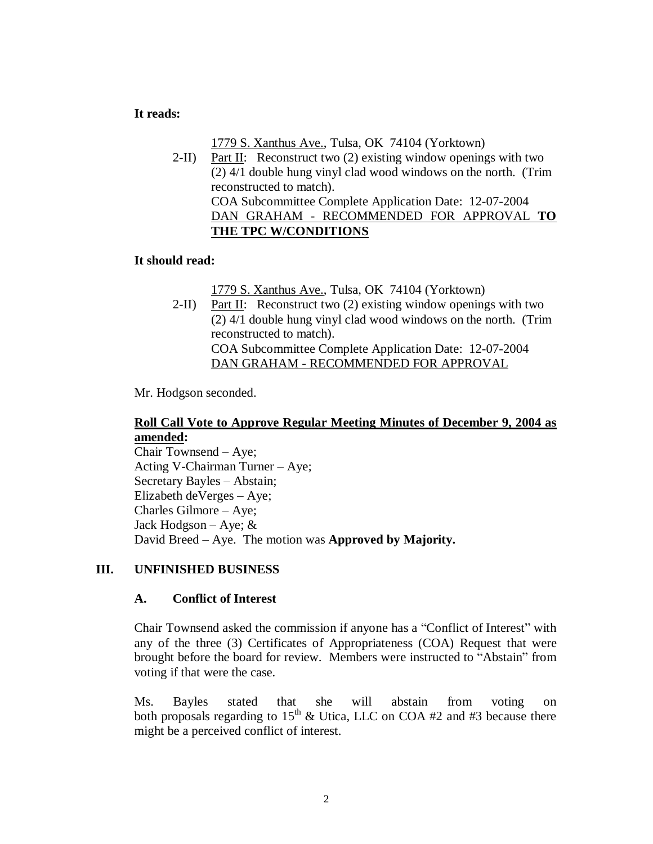#### **It reads:**

1779 S. Xanthus Ave., Tulsa, OK 74104 (Yorktown)

2-II) Part II: Reconstruct two  $(2)$  existing window openings with two (2) 4/1 double hung vinyl clad wood windows on the north. (Trim reconstructed to match). COA Subcommittee Complete Application Date: 12-07-2004 DAN GRAHAM - RECOMMENDED FOR APPROVAL **TO THE TPC W/CONDITIONS**

#### **It should read:**

1779 S. Xanthus Ave., Tulsa, OK 74104 (Yorktown)

2-II) Part II: Reconstruct two  $(2)$  existing window openings with two (2) 4/1 double hung vinyl clad wood windows on the north. (Trim reconstructed to match). COA Subcommittee Complete Application Date: 12-07-2004 DAN GRAHAM - RECOMMENDED FOR APPROVAL

Mr. Hodgson seconded.

#### **Roll Call Vote to Approve Regular Meeting Minutes of December 9, 2004 as amended:**

Chair Townsend – Aye; Acting V-Chairman Turner – Aye; Secretary Bayles – Abstain; Elizabeth deVerges – Aye; Charles Gilmore – Aye; Jack Hodgson – Aye;  $&$ David Breed – Aye. The motion was **Approved by Majority.**

#### **III. UNFINISHED BUSINESS**

#### **A. Conflict of Interest**

Chair Townsend asked the commission if anyone has a "Conflict of Interest" with any of the three (3) Certificates of Appropriateness (COA) Request that were brought before the board for review. Members were instructed to "Abstain" from voting if that were the case.

Ms. Bayles stated that she will abstain from voting on both proposals regarding to  $15<sup>th</sup>$  & Utica, LLC on COA #2 and #3 because there might be a perceived conflict of interest.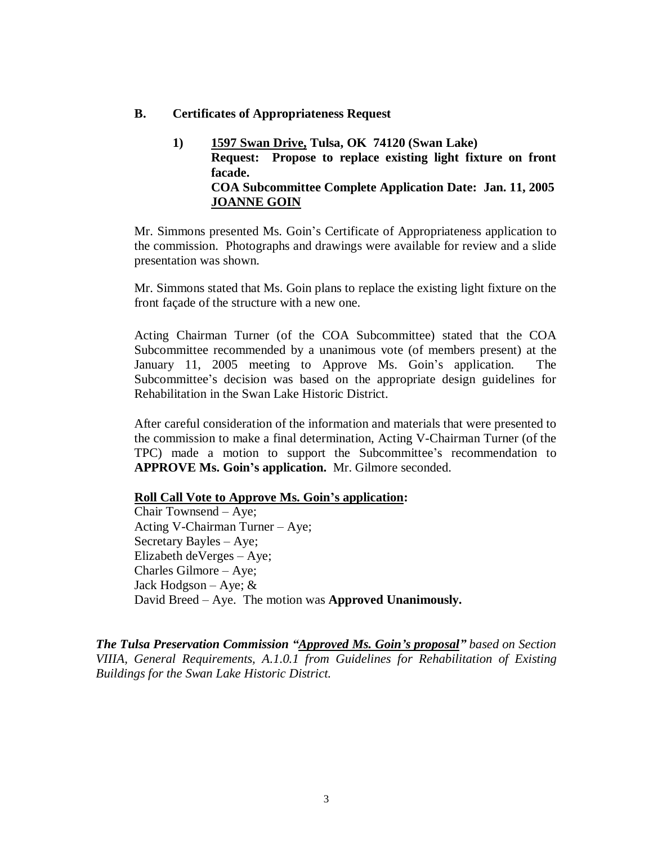#### **B. Certificates of Appropriateness Request**

**1) 1597 Swan Drive, Tulsa, OK 74120 (Swan Lake) Request: Propose to replace existing light fixture on front facade. COA Subcommittee Complete Application Date: Jan. 11, 2005 JOANNE GOIN**

Mr. Simmons presented Ms. Goin's Certificate of Appropriateness application to the commission. Photographs and drawings were available for review and a slide presentation was shown.

Mr. Simmons stated that Ms. Goin plans to replace the existing light fixture on the front façade of the structure with a new one.

Acting Chairman Turner (of the COA Subcommittee) stated that the COA Subcommittee recommended by a unanimous vote (of members present) at the January 11, 2005 meeting to Approve Ms. Goin's application. The Subcommittee's decision was based on the appropriate design guidelines for Rehabilitation in the Swan Lake Historic District.

After careful consideration of the information and materials that were presented to the commission to make a final determination, Acting V-Chairman Turner (of the TPC) made a motion to support the Subcommittee's recommendation to **APPROVE Ms. Goin's application.** Mr. Gilmore seconded.

#### **Roll Call Vote to Approve Ms. Goin's application:**

Chair Townsend – Aye; Acting V-Chairman Turner – Aye; Secretary Bayles – Aye; Elizabeth deVerges – Aye; Charles Gilmore – Aye; Jack Hodgson – Aye;  $\&$ David Breed – Aye. The motion was **Approved Unanimously.**

*The Tulsa Preservation Commission "Approved Ms. Goin's proposal"based on Section VIIIA, General Requirements, A.1.0.1 from Guidelines for Rehabilitation of Existing Buildings for the Swan Lake Historic District.*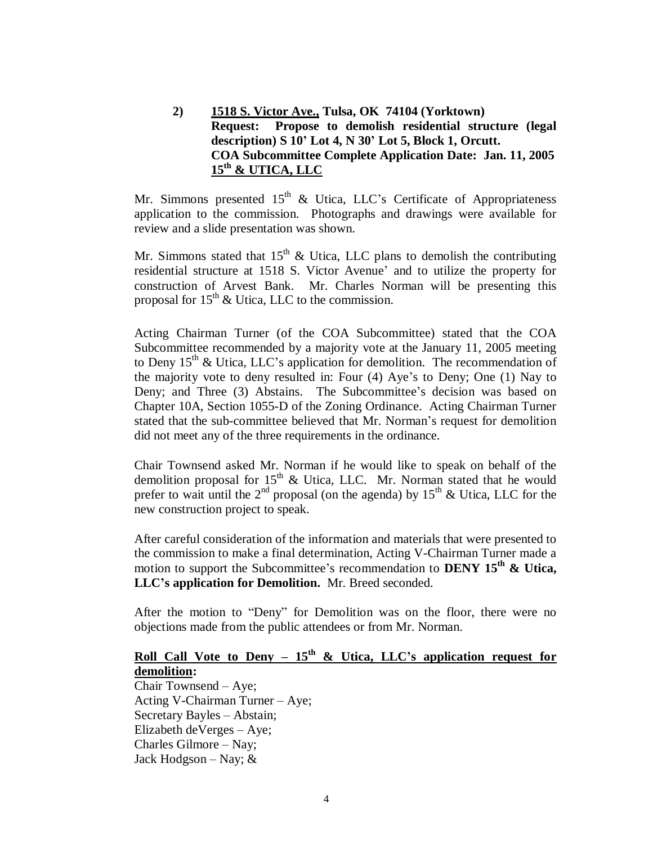### **2) 1518 S. Victor Ave., Tulsa, OK 74104 (Yorktown) Request: Propose to demolish residential structure (legal description) S 10' Lot 4, N 30' Lot 5, Block 1, Orcutt. COA Subcommittee Complete Application Date: Jan. 11, 2005 15th & UTICA, LLC**

Mr. Simmons presented  $15<sup>th</sup>$  & Utica, LLC's Certificate of Appropriateness application to the commission. Photographs and drawings were available for review and a slide presentation was shown.

Mr. Simmons stated that  $15<sup>th</sup>$  & Utica, LLC plans to demolish the contributing residential structure at 1518 S. Victor Avenue' and to utilize the property for construction of Arvest Bank. Mr. Charles Norman will be presenting this proposal for  $15<sup>th</sup>$  & Utica, LLC to the commission.

Acting Chairman Turner (of the COA Subcommittee) stated that the COA Subcommittee recommended by a majority vote at the January 11, 2005 meeting to Deny  $15<sup>th</sup>$  & Utica, LLC's application for demolition. The recommendation of the majority vote to deny resulted in: Four (4) Aye's to Deny; One (1) Nay to Deny; and Three (3) Abstains. The Subcommittee's decision was based on Chapter 10A, Section 1055-D of the Zoning Ordinance. Acting Chairman Turner stated that the sub-committee believed that Mr. Norman's request for demolition did not meet any of the three requirements in the ordinance.

Chair Townsend asked Mr. Norman if he would like to speak on behalf of the demolition proposal for  $15<sup>th</sup>$  & Utica, LLC. Mr. Norman stated that he would prefer to wait until the  $2<sup>nd</sup>$  proposal (on the agenda) by  $15<sup>th</sup>$  & Utica, LLC for the new construction project to speak.

After careful consideration of the information and materials that were presented to the commission to make a final determination, Acting V-Chairman Turner made a motion to support the Subcommittee's recommendation to **DENY 15th & Utica, LLC's application for Demolition.** Mr. Breed seconded.

After the motion to "Deny" for Demolition was on the floor, there were no objections made from the public attendees or from Mr. Norman.

# **Roll Call Vote to Deny –**  $15<sup>th</sup>$  **& Utica, LLC's application request for demolition:**

Chair Townsend – Aye; Acting V-Chairman Turner – Aye; Secretary Bayles – Abstain; Elizabeth deVerges – Aye; Charles Gilmore – Nay; Jack Hodgson – Nay;  $&$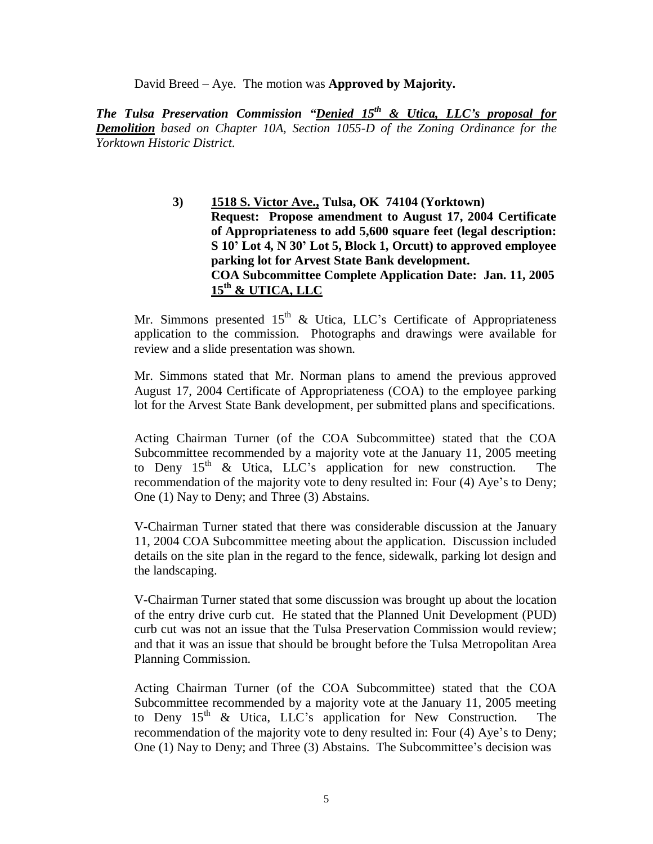David Breed – Aye. The motion was **Approved by Majority.**

*The Tulsa Preservation Commission "Denied 15th & Utica, LLC's proposal for Demolition based on Chapter 10A, Section 1055-D of the Zoning Ordinance for the Yorktown Historic District.*

> **3) 1518 S. Victor Ave., Tulsa, OK 74104 (Yorktown) Request: Propose amendment to August 17, 2004 Certificate of Appropriateness to add 5,600 square feet (legal description: S 10' Lot 4, N 30' Lot 5, Block 1, Orcutt) to approved employee parking lot for Arvest State Bank development. COA Subcommittee Complete Application Date: Jan. 11, 2005 15th & UTICA, LLC**

Mr. Simmons presented  $15<sup>th</sup>$  & Utica, LLC's Certificate of Appropriateness application to the commission. Photographs and drawings were available for review and a slide presentation was shown.

Mr. Simmons stated that Mr. Norman plans to amend the previous approved August 17, 2004 Certificate of Appropriateness (COA) to the employee parking lot for the Arvest State Bank development, per submitted plans and specifications.

Acting Chairman Turner (of the COA Subcommittee) stated that the COA Subcommittee recommended by a majority vote at the January 11, 2005 meeting to Deny  $15<sup>th</sup>$  & Utica, LLC's application for new construction. The recommendation of the majority vote to deny resulted in: Four (4) Aye's to Deny; One (1) Nay to Deny; and Three (3) Abstains.

V-Chairman Turner stated that there was considerable discussion at the January 11, 2004 COA Subcommittee meeting about the application. Discussion included details on the site plan in the regard to the fence, sidewalk, parking lot design and the landscaping.

V-Chairman Turner stated that some discussion was brought up about the location of the entry drive curb cut. He stated that the Planned Unit Development (PUD) curb cut was not an issue that the Tulsa Preservation Commission would review; and that it was an issue that should be brought before the Tulsa Metropolitan Area Planning Commission.

Acting Chairman Turner (of the COA Subcommittee) stated that the COA Subcommittee recommended by a majority vote at the January 11, 2005 meeting to Deny  $15<sup>th</sup>$  & Utica, LLC's application for New Construction. The recommendation of the majority vote to deny resulted in: Four (4) Aye's to Deny; One (1) Nay to Deny; and Three (3) Abstains. The Subcommittee's decision was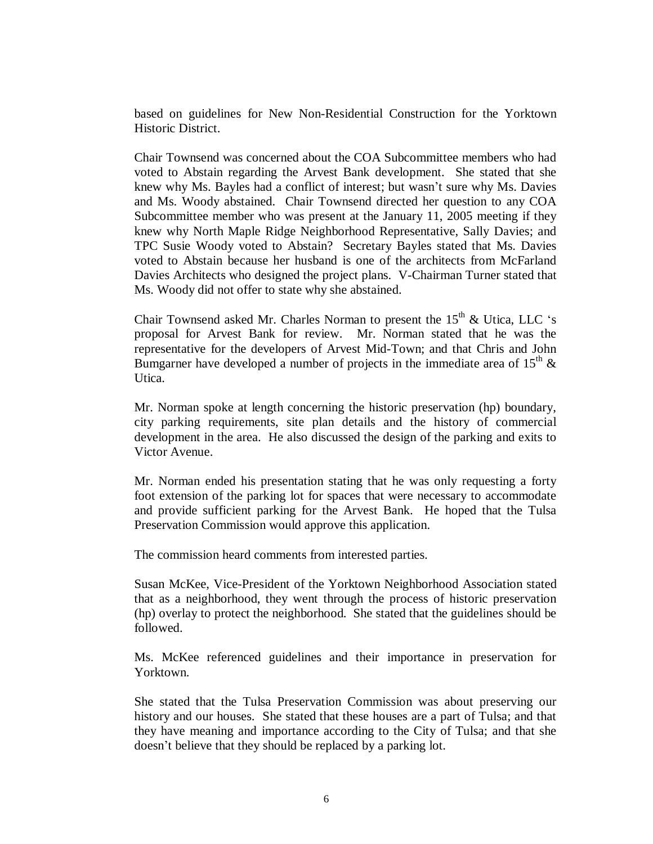based on guidelines for New Non-Residential Construction for the Yorktown Historic District.

Chair Townsend was concerned about the COA Subcommittee members who had voted to Abstain regarding the Arvest Bank development. She stated that she knew why Ms. Bayles had a conflict of interest; but wasn't sure why Ms. Davies and Ms. Woody abstained. Chair Townsend directed her question to any COA Subcommittee member who was present at the January 11, 2005 meeting if they knew why North Maple Ridge Neighborhood Representative, Sally Davies; and TPC Susie Woody voted to Abstain? Secretary Bayles stated that Ms. Davies voted to Abstain because her husband is one of the architects from McFarland Davies Architects who designed the project plans. V-Chairman Turner stated that Ms. Woody did not offer to state why she abstained.

Chair Townsend asked Mr. Charles Norman to present the  $15<sup>th</sup>$  & Utica, LLC 's proposal for Arvest Bank for review. Mr. Norman stated that he was the representative for the developers of Arvest Mid-Town; and that Chris and John Bumgarner have developed a number of projects in the immediate area of  $15<sup>th</sup>$  & Utica.

Mr. Norman spoke at length concerning the historic preservation (hp) boundary, city parking requirements, site plan details and the history of commercial development in the area. He also discussed the design of the parking and exits to Victor Avenue.

Mr. Norman ended his presentation stating that he was only requesting a forty foot extension of the parking lot for spaces that were necessary to accommodate and provide sufficient parking for the Arvest Bank. He hoped that the Tulsa Preservation Commission would approve this application.

The commission heard comments from interested parties.

Susan McKee, Vice-President of the Yorktown Neighborhood Association stated that as a neighborhood, they went through the process of historic preservation (hp) overlay to protect the neighborhood. She stated that the guidelines should be followed.

Ms. McKee referenced guidelines and their importance in preservation for Yorktown.

She stated that the Tulsa Preservation Commission was about preserving our history and our houses. She stated that these houses are a part of Tulsa; and that they have meaning and importance according to the City of Tulsa; and that she doesn't believe that they should be replaced by a parking lot.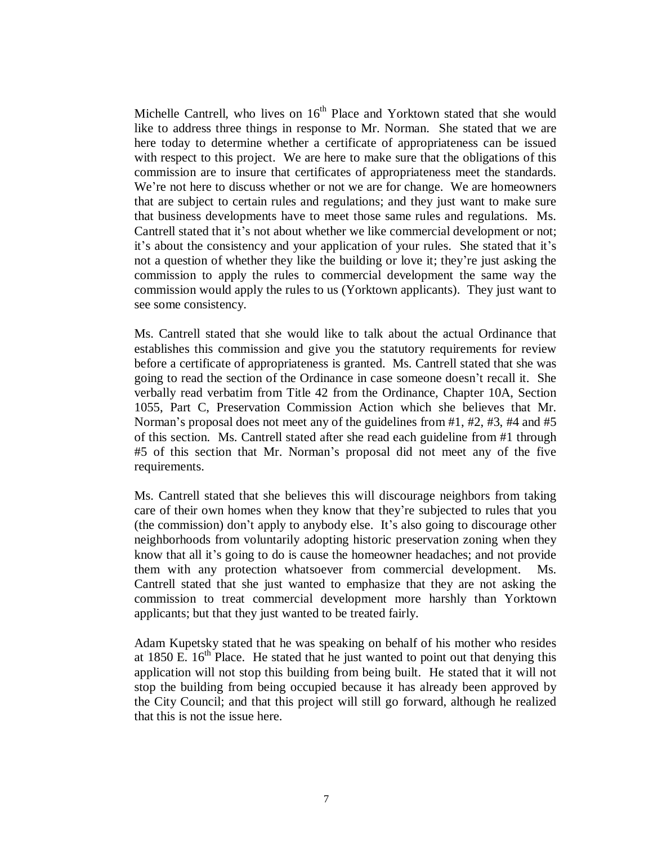Michelle Cantrell, who lives on  $16<sup>th</sup>$  Place and Yorktown stated that she would like to address three things in response to Mr. Norman. She stated that we are here today to determine whether a certificate of appropriateness can be issued with respect to this project. We are here to make sure that the obligations of this commission are to insure that certificates of appropriateness meet the standards. We're not here to discuss whether or not we are for change. We are homeowners that are subject to certain rules and regulations; and they just want to make sure that business developments have to meet those same rules and regulations. Ms. Cantrell stated that it's not about whether we like commercial development or not; it's about the consistency and your application of your rules. She stated that it's not a question of whether they like the building or love it; they're just asking the commission to apply the rules to commercial development the same way the commission would apply the rules to us (Yorktown applicants). They just want to see some consistency.

Ms. Cantrell stated that she would like to talk about the actual Ordinance that establishes this commission and give you the statutory requirements for review before a certificate of appropriateness is granted. Ms. Cantrell stated that she was going to read the section of the Ordinance in case someone doesn't recall it. She verbally read verbatim from Title 42 from the Ordinance, Chapter 10A, Section 1055, Part C, Preservation Commission Action which she believes that Mr. Norman's proposal does not meet any of the guidelines from #1, #2, #3, #4 and #5 of this section. Ms. Cantrell stated after she read each guideline from #1 through #5 of this section that Mr. Norman's proposal did not meet any of the five requirements.

Ms. Cantrell stated that she believes this will discourage neighbors from taking care of their own homes when they know that they're subjected to rules that you (the commission) don't apply to anybody else. It's also going to discourage other neighborhoods from voluntarily adopting historic preservation zoning when they know that all it's going to do is cause the homeowner headaches; and not provide them with any protection whatsoever from commercial development. Ms. Cantrell stated that she just wanted to emphasize that they are not asking the commission to treat commercial development more harshly than Yorktown applicants; but that they just wanted to be treated fairly.

Adam Kupetsky stated that he was speaking on behalf of his mother who resides at 1850 E.  $16<sup>th</sup>$  Place. He stated that he just wanted to point out that denying this application will not stop this building from being built. He stated that it will not stop the building from being occupied because it has already been approved by the City Council; and that this project will still go forward, although he realized that this is not the issue here.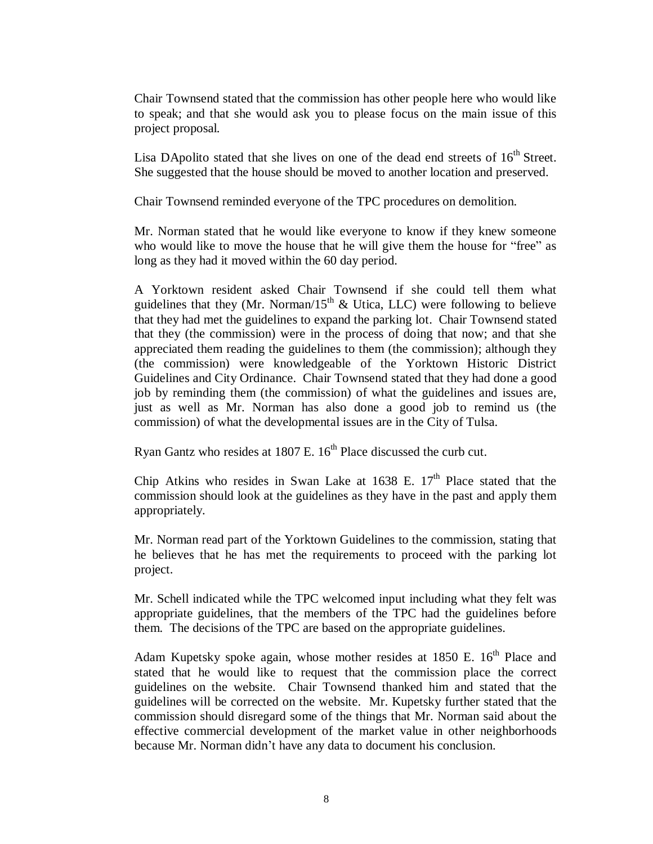Chair Townsend stated that the commission has other people here who would like to speak; and that she would ask you to please focus on the main issue of this project proposal.

Lisa DApolito stated that she lives on one of the dead end streets of  $16<sup>th</sup>$  Street. She suggested that the house should be moved to another location and preserved.

Chair Townsend reminded everyone of the TPC procedures on demolition.

Mr. Norman stated that he would like everyone to know if they knew someone who would like to move the house that he will give them the house for "free" as long as they had it moved within the 60 day period.

A Yorktown resident asked Chair Townsend if she could tell them what guidelines that they (Mr. Norman/15<sup>th</sup> & Utica, LLC) were following to believe that they had met the guidelines to expand the parking lot. Chair Townsend stated that they (the commission) were in the process of doing that now; and that she appreciated them reading the guidelines to them (the commission); although they (the commission) were knowledgeable of the Yorktown Historic District Guidelines and City Ordinance. Chair Townsend stated that they had done a good job by reminding them (the commission) of what the guidelines and issues are, just as well as Mr. Norman has also done a good job to remind us (the commission) of what the developmental issues are in the City of Tulsa.

Ryan Gantz who resides at  $1807$  E.  $16<sup>th</sup>$  Place discussed the curb cut.

Chip Atkins who resides in Swan Lake at  $1638$  E.  $17<sup>th</sup>$  Place stated that the commission should look at the guidelines as they have in the past and apply them appropriately.

Mr. Norman read part of the Yorktown Guidelines to the commission, stating that he believes that he has met the requirements to proceed with the parking lot project.

Mr. Schell indicated while the TPC welcomed input including what they felt was appropriate guidelines, that the members of the TPC had the guidelines before them. The decisions of the TPC are based on the appropriate guidelines.

Adam Kupetsky spoke again, whose mother resides at  $1850$  E.  $16<sup>th</sup>$  Place and stated that he would like to request that the commission place the correct guidelines on the website. Chair Townsend thanked him and stated that the guidelines will be corrected on the website. Mr. Kupetsky further stated that the commission should disregard some of the things that Mr. Norman said about the effective commercial development of the market value in other neighborhoods because Mr. Norman didn't have any data to document his conclusion.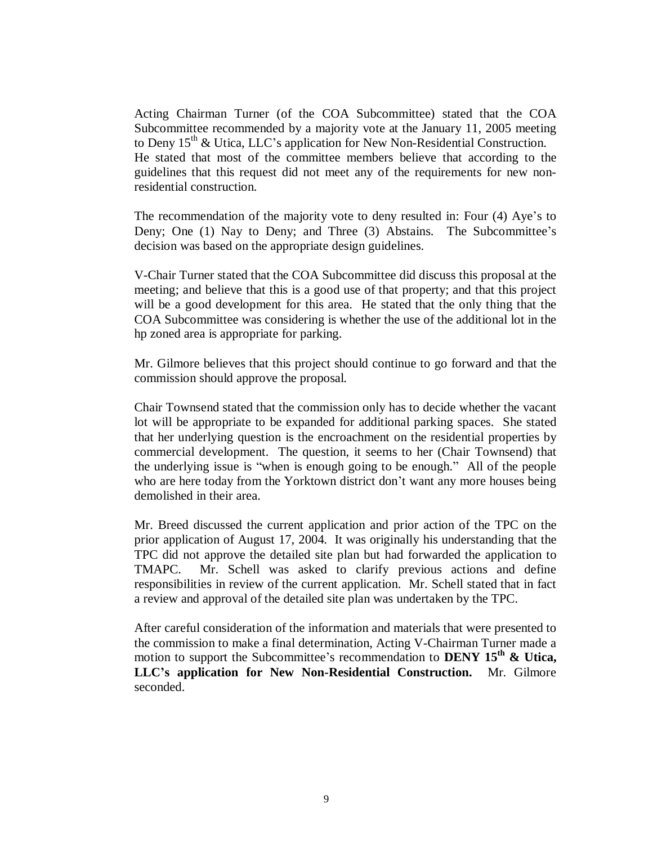Acting Chairman Turner (of the COA Subcommittee) stated that the COA Subcommittee recommended by a majority vote at the January 11, 2005 meeting to Deny  $15<sup>th</sup>$  & Utica, LLC's application for New Non-Residential Construction. He stated that most of the committee members believe that according to the guidelines that this request did not meet any of the requirements for new nonresidential construction.

The recommendation of the majority vote to deny resulted in: Four (4) Aye's to Deny; One (1) Nay to Deny; and Three (3) Abstains. The Subcommittee's decision was based on the appropriate design guidelines.

V-Chair Turner stated that the COA Subcommittee did discuss this proposal at the meeting; and believe that this is a good use of that property; and that this project will be a good development for this area. He stated that the only thing that the COA Subcommittee was considering is whether the use of the additional lot in the hp zoned area is appropriate for parking.

Mr. Gilmore believes that this project should continue to go forward and that the commission should approve the proposal.

Chair Townsend stated that the commission only has to decide whether the vacant lot will be appropriate to be expanded for additional parking spaces. She stated that her underlying question is the encroachment on the residential properties by commercial development. The question, it seems to her (Chair Townsend) that the underlying issue is "when is enough going to be enough." All of the people who are here today from the Yorktown district don't want any more houses being demolished in their area.

Mr. Breed discussed the current application and prior action of the TPC on the prior application of August 17, 2004. It was originally his understanding that the TPC did not approve the detailed site plan but had forwarded the application to TMAPC. Mr. Schell was asked to clarify previous actions and define responsibilities in review of the current application. Mr. Schell stated that in fact a review and approval of the detailed site plan was undertaken by the TPC.

After careful consideration of the information and materials that were presented to the commission to make a final determination, Acting V-Chairman Turner made a motion to support the Subcommittee's recommendation to **DENY 15th & Utica, LLC's application for New Non-Residential Construction.** Mr. Gilmore seconded.